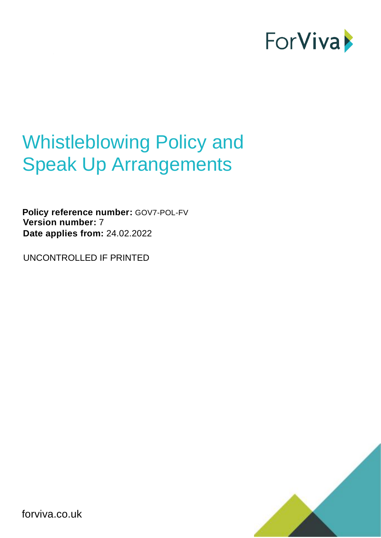

# Whistleblowing Policy and Speak Up Arrangements

**Policy reference number:** GOV7-POL-FV **Version number:** 7 **Date applies from:** 24.02.2022

UNCONTROLLED IF PRINTED



forviva.co.uk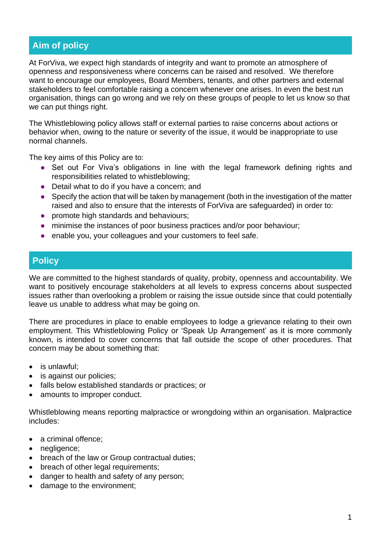## **Aim of policy**

At ForViva, we expect high standards of integrity and want to promote an atmosphere of openness and responsiveness where concerns can be raised and resolved. We therefore want to encourage our employees, Board Members, tenants, and other partners and external stakeholders to feel comfortable raising a concern whenever one arises. In even the best run organisation, things can go wrong and we rely on these groups of people to let us know so that we can put things right.

The Whistleblowing policy allows staff or external parties to raise concerns about actions or behavior when, owing to the nature or severity of the issue, it would be inappropriate to use normal channels.

The key aims of this Policy are to:

- **●** Set out For Viva's obligations in line with the legal framework defining rights and responsibilities related to whistleblowing;
- **●** Detail what to do if you have a concern; and
- **●** Specify the action that will be taken by management (both in the investigation of the matter raised and also to ensure that the interests of ForViva are safeguarded) in order to:
- **●** promote high standards and behaviours;
- **●** minimise the instances of poor business practices and/or poor behaviour;
- **●** enable you, your colleagues and your customers to feel safe.

### **Policy**

We are committed to the highest standards of quality, probity, openness and accountability. We want to positively encourage stakeholders at all levels to express concerns about suspected issues rather than overlooking a problem or raising the issue outside since that could potentially leave us unable to address what may be going on.

There are procedures in place to enable employees to lodge a grievance relating to their own employment. This Whistleblowing Policy or 'Speak Up Arrangement' as it is more commonly known, is intended to cover concerns that fall outside the scope of other procedures. That concern may be about something that:

- is unlawful;
- is against our policies;
- falls below established standards or practices; or
- amounts to improper conduct.

Whistleblowing means reporting malpractice or wrongdoing within an organisation. Malpractice includes:

- a criminal offence;
- negligence;
- breach of the law or Group contractual duties;
- breach of other legal requirements;
- danger to health and safety of any person;
- damage to the environment;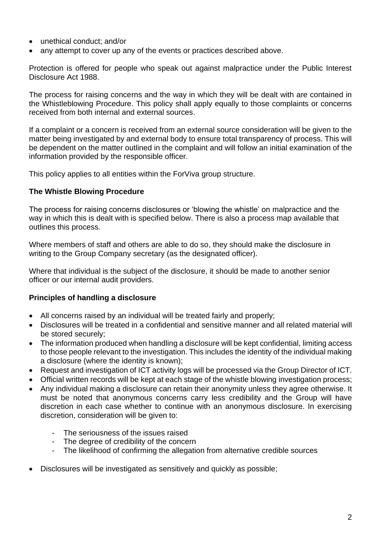- unethical conduct; and/or
- any attempt to cover up any of the events or practices described above.

Protection is offered for people who speak out against malpractice under the Public Interest Disclosure Act 1988.

The process for raising concerns and the way in which they will be dealt with are contained in the Whistleblowing Procedure. This policy shall apply equally to those complaints or concerns received from both internal and external sources.

If a complaint or a concern is received from an external source consideration will be given to the matter being investigated by and external body to ensure total transparency of process. This will be dependent on the matter outlined in the complaint and will follow an initial examination of the information provided by the responsible officer.

This policy applies to all entities within the ForViva group structure.

#### **The Whistle Blowing Procedure**

The process for raising concerns disclosures or 'blowing the whistle' on malpractice and the way in which this is dealt with is specified below. There is also a process map available that outlines this process.

Where members of staff and others are able to do so, they should make the disclosure in writing to the Group Company secretary (as the designated officer).

Where that individual is the subject of the disclosure, it should be made to another senior officer or our internal audit providers.

#### **Principles of handling a disclosure**

- All concerns raised by an individual will be treated fairly and properly;
- Disclosures will be treated in a confidential and sensitive manner and all related material will be stored securely;
- The information produced when handling a disclosure will be kept confidential, limiting access to those people relevant to the investigation. This includes the identity of the individual making a disclosure (where the identity is known);
- Request and investigation of ICT activity logs will be processed via the Group Director of ICT.
- Official written records will be kept at each stage of the whistle blowing investigation process;
- Any individual making a disclosure can retain their anonymity unless they agree otherwise. It must be noted that anonymous concerns carry less credibility and the Group will have discretion in each case whether to continue with an anonymous disclosure. In exercising discretion, consideration will be given to:
	- The seriousness of the issues raised
	- The degree of credibility of the concern
	- The likelihood of confirming the allegation from alternative credible sources
- Disclosures will be investigated as sensitively and quickly as possible;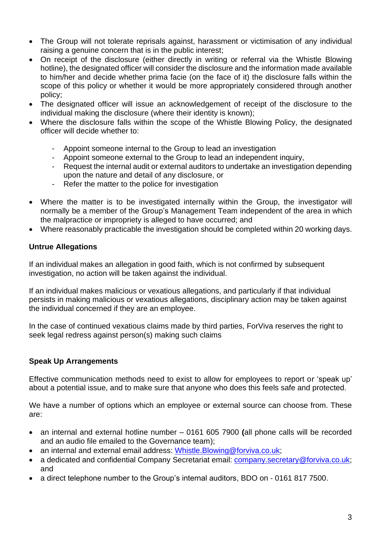- The Group will not tolerate reprisals against, harassment or victimisation of any individual raising a genuine concern that is in the public interest;
- On receipt of the disclosure (either directly in writing or referral via the Whistle Blowing hotline), the designated officer will consider the disclosure and the information made available to him/her and decide whether prima facie (on the face of it) the disclosure falls within the scope of this policy or whether it would be more appropriately considered through another policy;
- The designated officer will issue an acknowledgement of receipt of the disclosure to the individual making the disclosure (where their identity is known);
- Where the disclosure falls within the scope of the Whistle Blowing Policy, the designated officer will decide whether to:
	- Appoint someone internal to the Group to lead an investigation
	- Appoint someone external to the Group to lead an independent inquiry,
	- Request the internal audit or external auditors to undertake an investigation depending upon the nature and detail of any disclosure, or
	- Refer the matter to the police for investigation
- Where the matter is to be investigated internally within the Group, the investigator will normally be a member of the Group's Management Team independent of the area in which the malpractice or impropriety is alleged to have occurred; and
- Where reasonably practicable the investigation should be completed within 20 working days.

#### **Untrue Allegations**

If an individual makes an allegation in good faith, which is not confirmed by subsequent investigation, no action will be taken against the individual.

If an individual makes malicious or vexatious allegations, and particularly if that individual persists in making malicious or vexatious allegations, disciplinary action may be taken against the individual concerned if they are an employee.

In the case of continued vexatious claims made by third parties, ForViva reserves the right to seek legal redress against person(s) making such claims

#### **Speak Up Arrangements**

Effective communication methods need to exist to allow for employees to report or 'speak up' about a potential issue, and to make sure that anyone who does this feels safe and protected.

We have a number of options which an employee or external source can choose from. These are:

- an internal and external hotline number 0161 605 7900 **(**all phone calls will be recorded and an audio file emailed to the Governance team);
- an internal and external email address: [Whistle.Blowing@forviva.co.uk;](mailto:Whistle.Blowing@forviva.co.uk)
- a dedicated and confidential Company Secretariat email: [company.secretary@forviva.co.uk;](mailto:company.secretary@forviva.co.uk) and
- a direct telephone number to the Group's internal auditors, BDO on 0161 817 7500.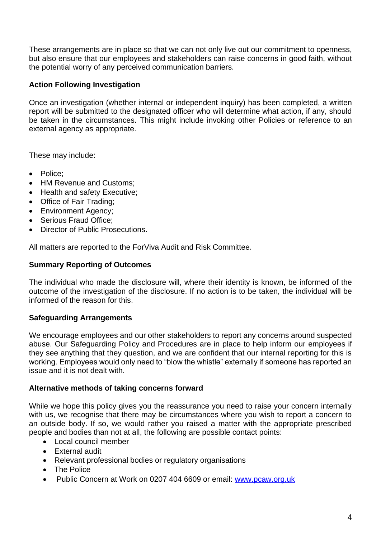These arrangements are in place so that we can not only live out our commitment to openness, but also ensure that our employees and stakeholders can raise concerns in good faith, without the potential worry of any perceived communication barriers.

#### **Action Following Investigation**

Once an investigation (whether internal or independent inquiry) has been completed, a written report will be submitted to the designated officer who will determine what action, if any, should be taken in the circumstances. This might include invoking other Policies or reference to an external agency as appropriate.

These may include:

- Police;
- HM Revenue and Customs:
- Health and safety Executive;
- Office of Fair Trading;
- Environment Agency;
- Serious Fraud Office;
- Director of Public Prosecutions.

All matters are reported to the ForViva Audit and Risk Committee.

#### **Summary Reporting of Outcomes**

The individual who made the disclosure will, where their identity is known, be informed of the outcome of the investigation of the disclosure. If no action is to be taken, the individual will be informed of the reason for this.

#### **Safeguarding Arrangements**

We encourage employees and our other stakeholders to report any concerns around suspected abuse. Our Safeguarding Policy and Procedures are in place to help inform our employees if they see anything that they question, and we are confident that our internal reporting for this is working. Employees would only need to "blow the whistle" externally if someone has reported an issue and it is not dealt with.

#### **Alternative methods of taking concerns forward**

While we hope this policy gives you the reassurance you need to raise your concern internally with us, we recognise that there may be circumstances where you wish to report a concern to an outside body. If so, we would rather you raised a matter with the appropriate prescribed people and bodies than not at all, the following are possible contact points:

- Local council member
- External audit
- Relevant professional bodies or regulatory organisations
- The Police
- Public Concern at Work on 0207 404 6609 or email: [www.pcaw.org.uk](http://www.pcaw.org.uk/)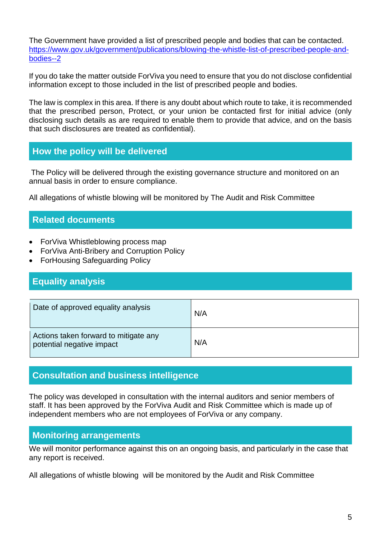The Government have provided a list of prescribed people and bodies that can be contacted. [https://www.gov.uk/government/publications/blowing-the-whistle-list-of-prescribed-people-and](https://www.gov.uk/government/publications/blowing-the-whistle-list-of-prescribed-people-and-bodies--2)[bodies--2](https://www.gov.uk/government/publications/blowing-the-whistle-list-of-prescribed-people-and-bodies--2)

If you do take the matter outside ForViva you need to ensure that you do not disclose confidential information except to those included in the list of prescribed people and bodies.

The law is complex in this area. If there is any doubt about which route to take, it is recommended that the prescribed person, Protect, or your union be contacted first for initial advice (only disclosing such details as are required to enable them to provide that advice, and on the basis that such disclosures are treated as confidential).

## **How the policy will be delivered**

The Policy will be delivered through the existing governance structure and monitored on an annual basis in order to ensure compliance.

All allegations of whistle blowing will be monitored by The Audit and Risk Committee

## **Related documents**

- ForViva Whistleblowing process map
- ForViva Anti-Bribery and Corruption Policy
- ForHousing Safeguarding Policy

## **Equality analysis**

| Date of approved equality analysis                                 | N/A |
|--------------------------------------------------------------------|-----|
| Actions taken forward to mitigate any<br>potential negative impact | N/A |

## **Consultation and business intelligence**

The policy was developed in consultation with the internal auditors and senior members of staff. It has been approved by the ForViva Audit and Risk Committee which is made up of independent members who are not employees of ForViva or any company.

## **Monitoring arrangements**

We will monitor performance against this on an ongoing basis, and particularly in the case that any report is received.

All allegations of whistle blowing will be monitored by the Audit and Risk Committee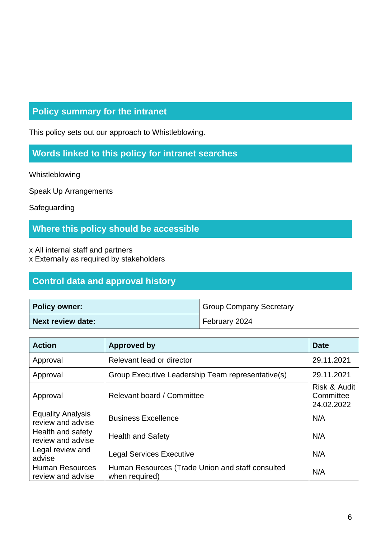# **Policy summary for the intranet**

This policy sets out our approach to Whistleblowing.

## **Words linked to this policy for intranet searches**

Whistleblowing

Speak Up Arrangements

**Safeguarding** 

## **Where this policy should be accessible**

x All internal staff and partners

x Externally as required by stakeholders

## **Control data and approval history**

| <b>Policy owner:</b> | <b>Group Company Secretary</b> |
|----------------------|--------------------------------|
| Next review date:    | February 2024                  |

| <b>Action</b>                                 | <b>Approved by</b>                                                 | <b>Date</b>                             |
|-----------------------------------------------|--------------------------------------------------------------------|-----------------------------------------|
| Approval                                      | Relevant lead or director                                          | 29.11.2021                              |
| Approval                                      | Group Executive Leadership Team representative(s)                  | 29.11.2021                              |
| Approval                                      | Relevant board / Committee                                         | Risk & Audit<br>Committee<br>24.02.2022 |
| <b>Equality Analysis</b><br>review and advise | <b>Business Excellence</b>                                         | N/A                                     |
| Health and safety<br>review and advise        | <b>Health and Safety</b>                                           | N/A                                     |
| Legal review and<br>advise                    | <b>Legal Services Executive</b>                                    | N/A                                     |
| <b>Human Resources</b><br>review and advise   | Human Resources (Trade Union and staff consulted<br>when required) | N/A                                     |